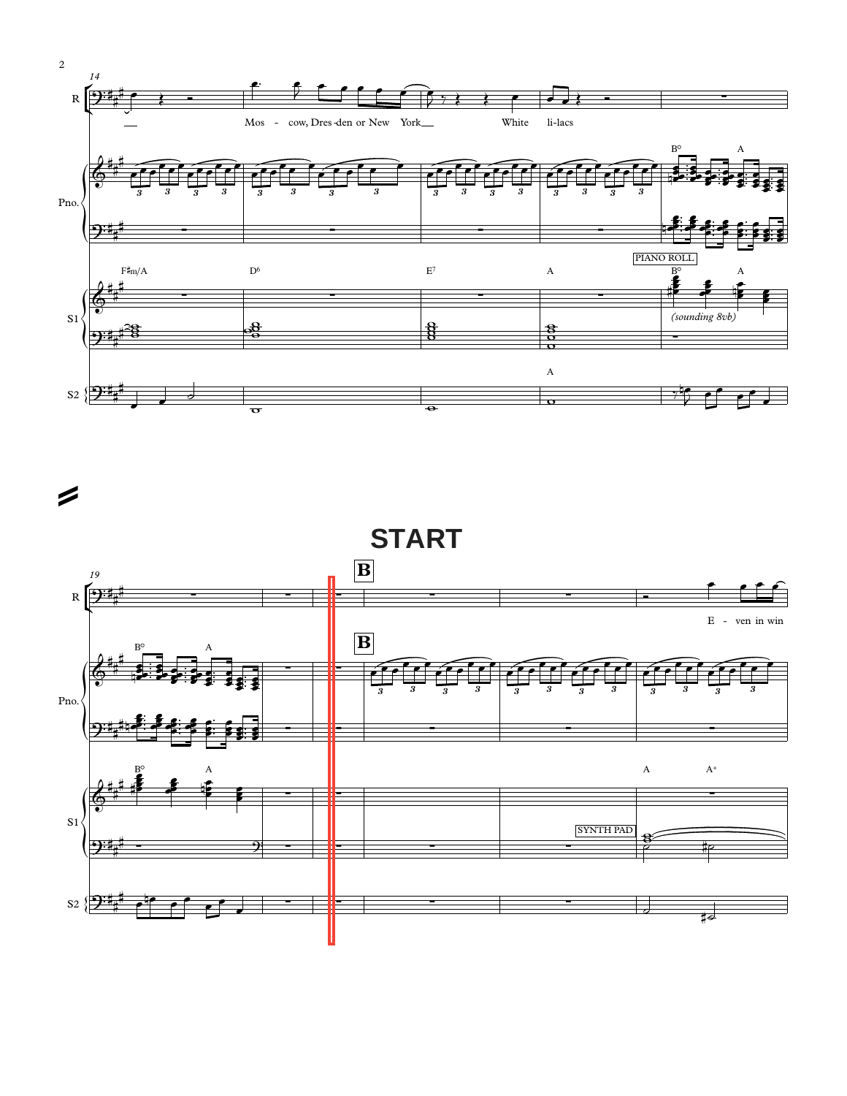



 $\sqrt{2}$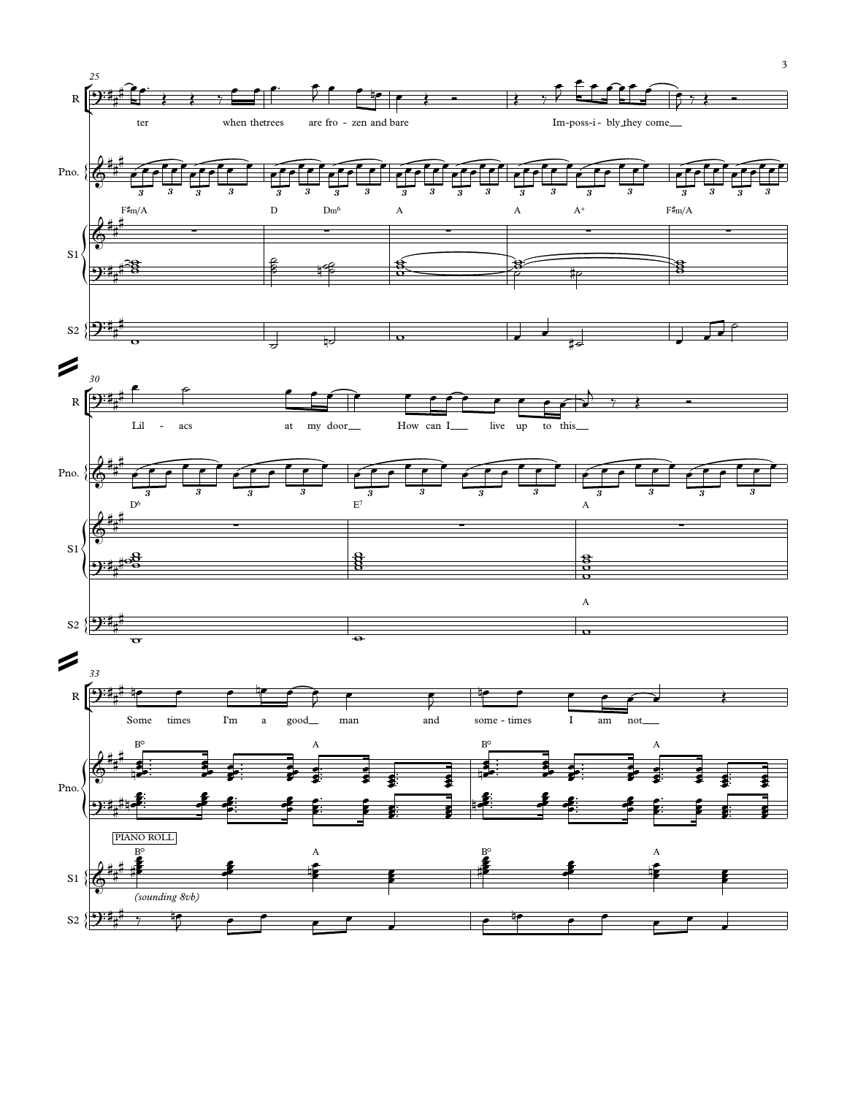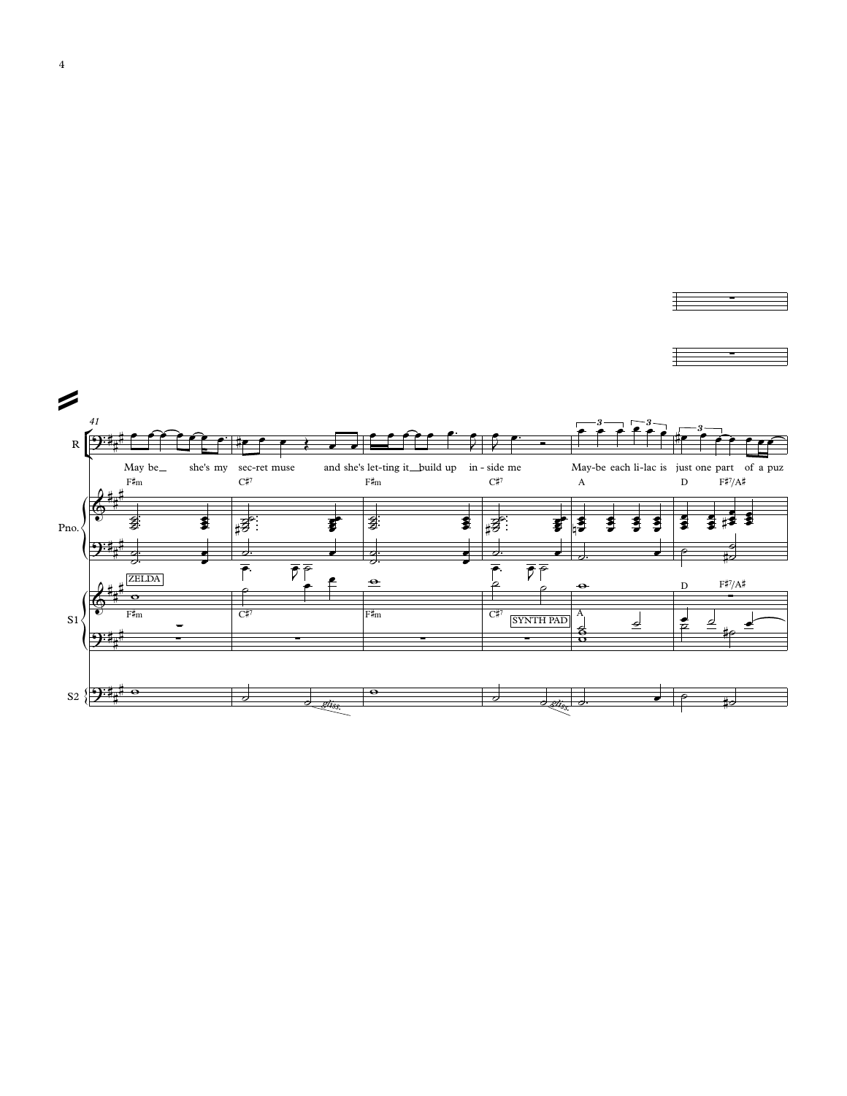

∑ ∑ ∑ ∑ ∑

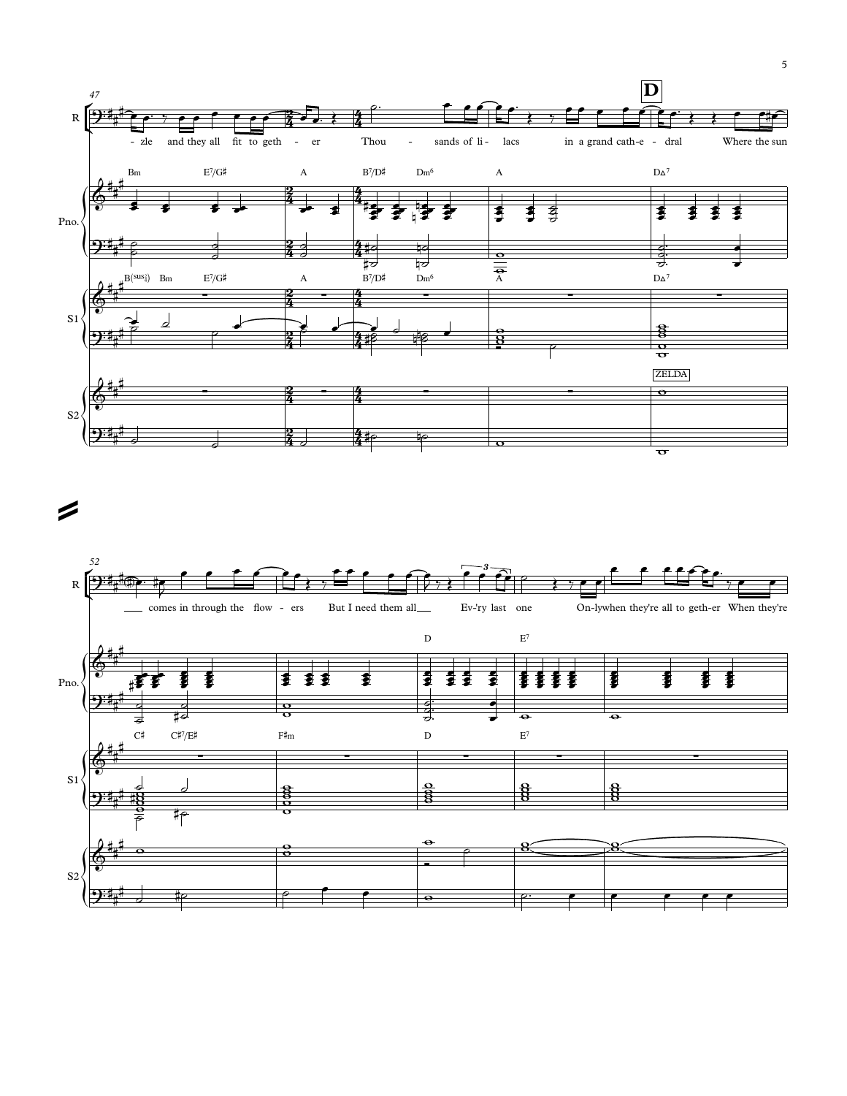

 $\boldsymbol{\mathcal{Z}}$ 

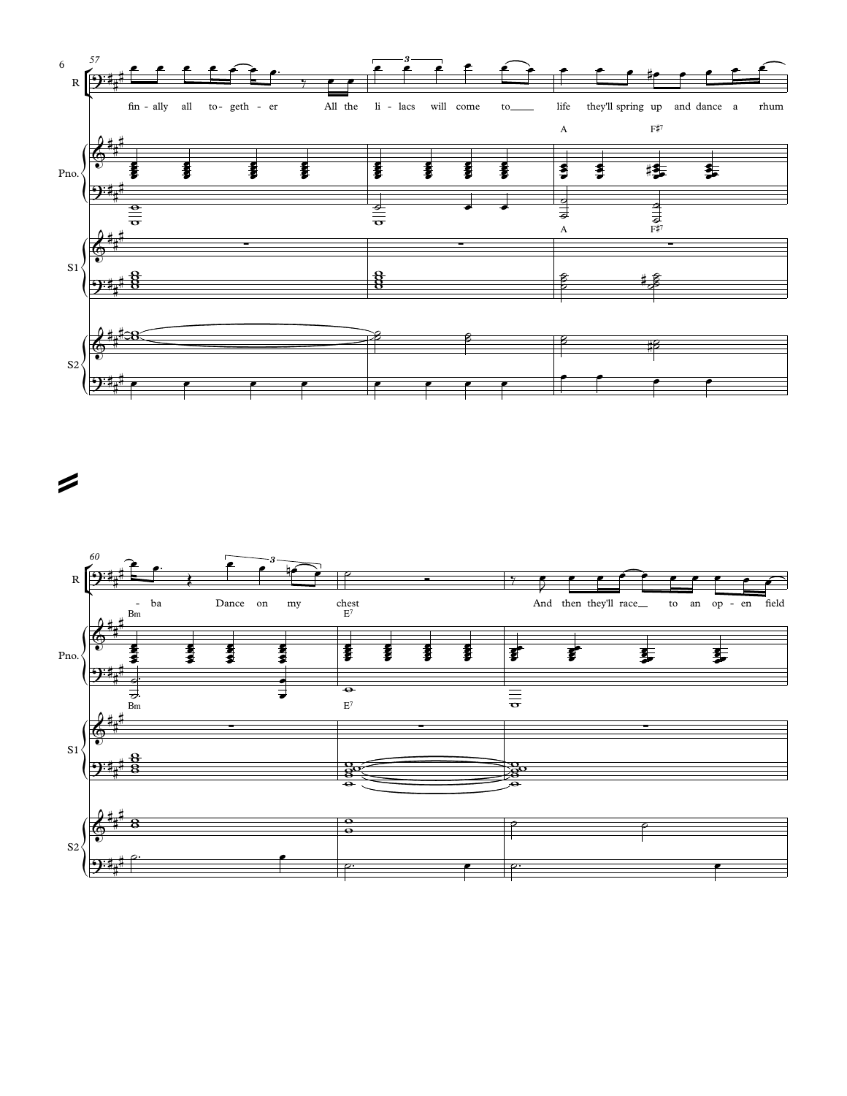

 $\boldsymbol{z}$